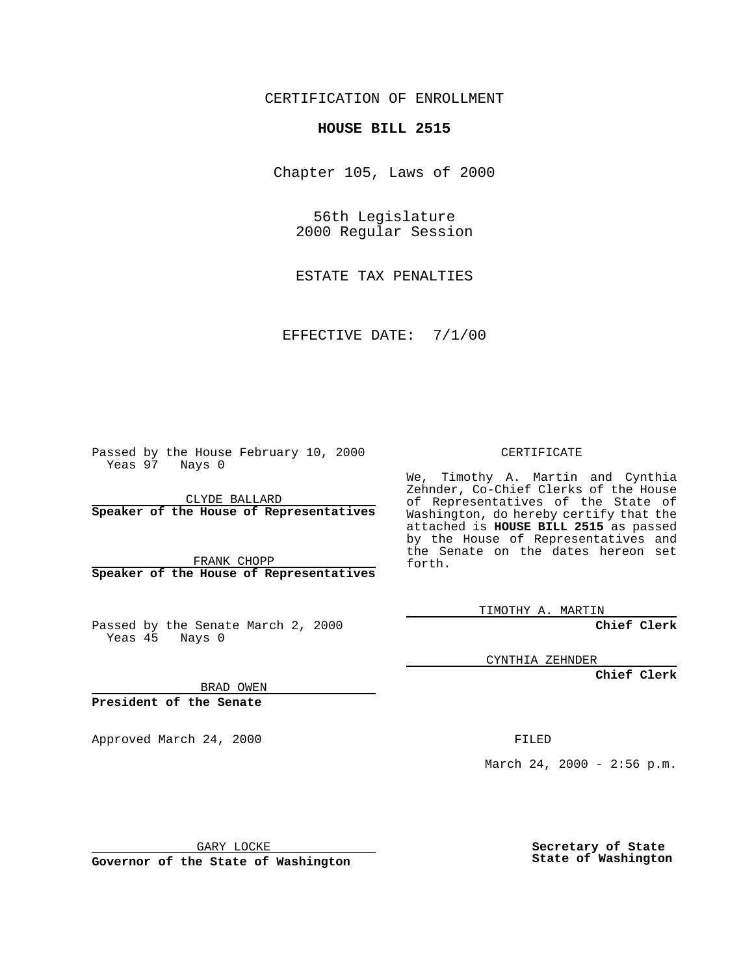CERTIFICATION OF ENROLLMENT

## **HOUSE BILL 2515**

Chapter 105, Laws of 2000

56th Legislature 2000 Regular Session

ESTATE TAX PENALTIES

EFFECTIVE DATE: 7/1/00

Passed by the House February 10, 2000 Yeas 97 Nays 0

CLYDE BALLARD **Speaker of the House of Representatives**

FRANK CHOPP **Speaker of the House of Representatives**

Passed by the Senate March 2, 2000 Yeas 45 Nays 0

CERTIFICATE

We, Timothy A. Martin and Cynthia Zehnder, Co-Chief Clerks of the House of Representatives of the State of Washington, do hereby certify that the attached is **HOUSE BILL 2515** as passed by the House of Representatives and the Senate on the dates hereon set forth.

TIMOTHY A. MARTIN

**Chief Clerk**

CYNTHIA ZEHNDER

**Chief Clerk**

BRAD OWEN

**President of the Senate**

Approved March 24, 2000 FILED

March 24, 2000 - 2:56 p.m.

GARY LOCKE

**Governor of the State of Washington**

**Secretary of State State of Washington**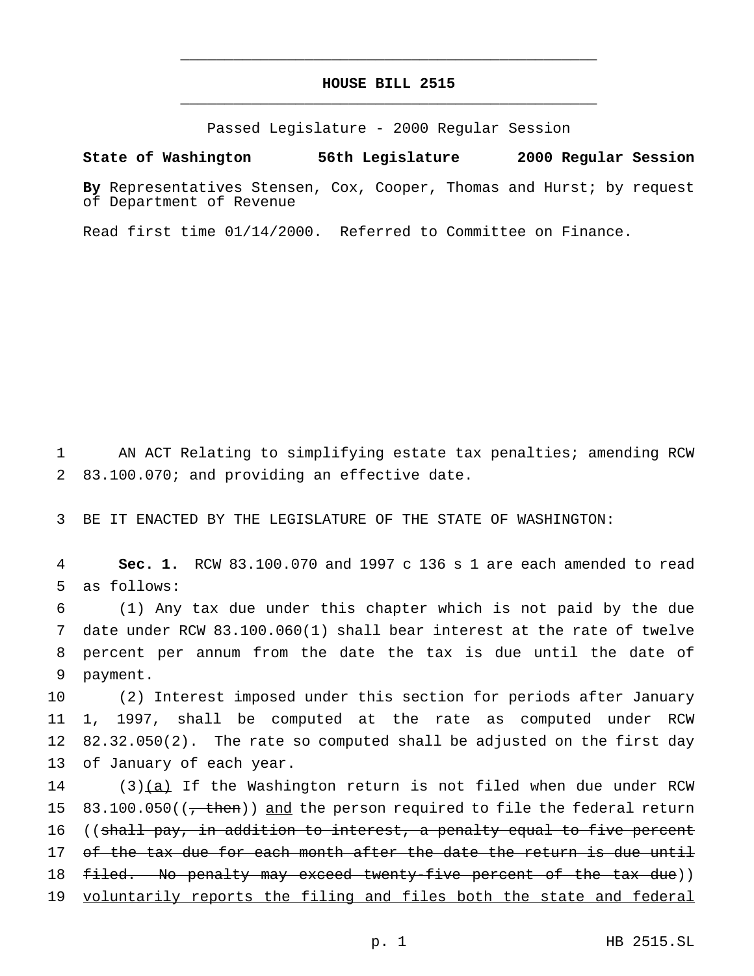## **HOUSE BILL 2515** \_\_\_\_\_\_\_\_\_\_\_\_\_\_\_\_\_\_\_\_\_\_\_\_\_\_\_\_\_\_\_\_\_\_\_\_\_\_\_\_\_\_\_\_\_\_\_

\_\_\_\_\_\_\_\_\_\_\_\_\_\_\_\_\_\_\_\_\_\_\_\_\_\_\_\_\_\_\_\_\_\_\_\_\_\_\_\_\_\_\_\_\_\_\_

Passed Legislature - 2000 Regular Session

## **State of Washington 56th Legislature 2000 Regular Session**

**By** Representatives Stensen, Cox, Cooper, Thomas and Hurst; by request of Department of Revenue

Read first time 01/14/2000. Referred to Committee on Finance.

1 AN ACT Relating to simplifying estate tax penalties; amending RCW 2 83.100.070; and providing an effective date.

3 BE IT ENACTED BY THE LEGISLATURE OF THE STATE OF WASHINGTON:

4 **Sec. 1.** RCW 83.100.070 and 1997 c 136 s 1 are each amended to read 5 as follows:

 (1) Any tax due under this chapter which is not paid by the due date under RCW 83.100.060(1) shall bear interest at the rate of twelve percent per annum from the date the tax is due until the date of 9 payment.

 (2) Interest imposed under this section for periods after January 1, 1997, shall be computed at the rate as computed under RCW 82.32.050(2). The rate so computed shall be adjusted on the first day of January of each year.

 $14$  (3)(a) If the Washington return is not filed when due under RCW 15  $83.100.050$  ( $\frac{1}{1000}$ ) and the person required to file the federal return 16 ((shall pay, in addition to interest, a penalty equal to five percent 17 of the tax due for each month after the date the return is due until 18 filed. No penalty may exceed twenty-five percent of the tax due)) 19 voluntarily reports the filing and files both the state and federal